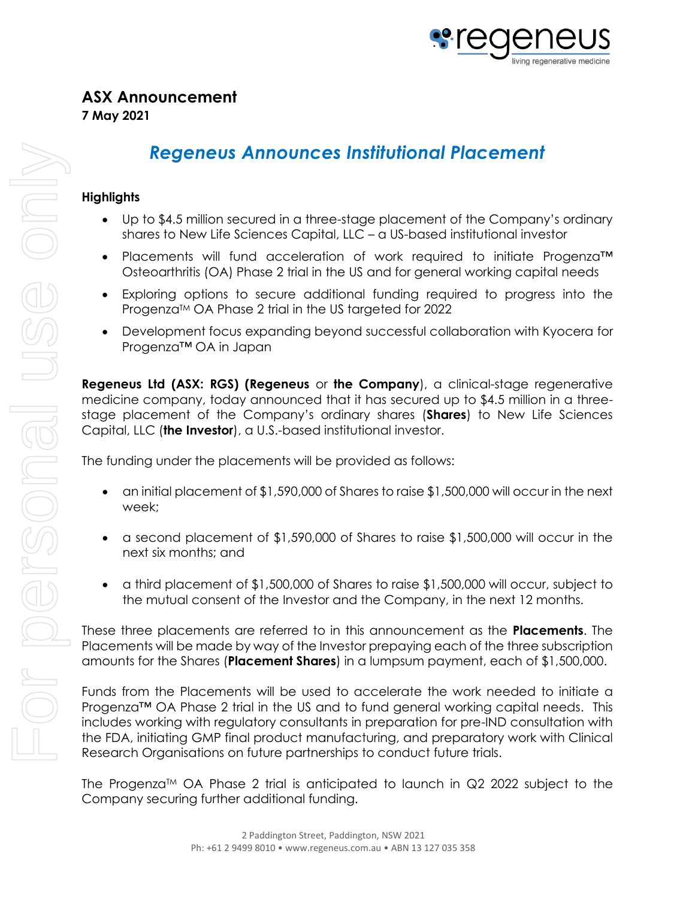

# *Regeneus Announces Institutional Placement*

## **Highlights**

- Up to \$4.5 million secured in a three-stage placement of the Company's ordinary shares to New Life Sciences Capital, LLC – a US-based institutional investor
- Placements will fund acceleration of work required to initiate Progenza™ Osteoarthritis (OA) Phase 2 trial in the US and for general working capital needs
- Exploring options to secure additional funding required to progress into the Progenza™ OA Phase 2 trial in the US targeted for 2022
- Development focus expanding beyond successful collaboration with Kyocera for Progenza™ OA in Japan

**Regeneus Ltd (ASX: RGS) (Regeneus** or **the Company**), a clinical-stage regenerative medicine company, today announced that it has secured up to \$4.5 million in a threestage placement of the Company's ordinary shares (**Shares**) to New Life Sciences Capital, LLC (**the Investor**), a U.S.-based institutional investor.

The funding under the placements will be provided as follows:

- an initial placement of \$1,590,000 of Shares to raise \$1,500,000 will occur in the next week;
- a second placement of \$1,590,000 of Shares to raise \$1,500,000 will occur in the next six months; and
- a third placement of \$1,500,000 of Shares to raise \$1,500,000 will occur, subject to the mutual consent of the Investor and the Company, in the next 12 months.

These three placements are referred to in this announcement as the **Placements**. The Placements will be made by way of the Investor prepaying each of the three subscription amounts for the Shares (**Placement Shares**) in a lumpsum payment, each of \$1,500,000.

Funds from the Placements will be used to accelerate the work needed to initiate a Progenza™ OA Phase 2 trial in the US and to fund general working capital needs. This includes working with regulatory consultants in preparation for pre-IND consultation with the FDA, initiating GMP final product manufacturing, and preparatory work with Clinical Research Organisations on future partnerships to conduct future trials.

The Progenza<sup>TM</sup> OA Phase 2 trial is anticipated to launch in  $Q2$  2022 subject to the Company securing further additional funding.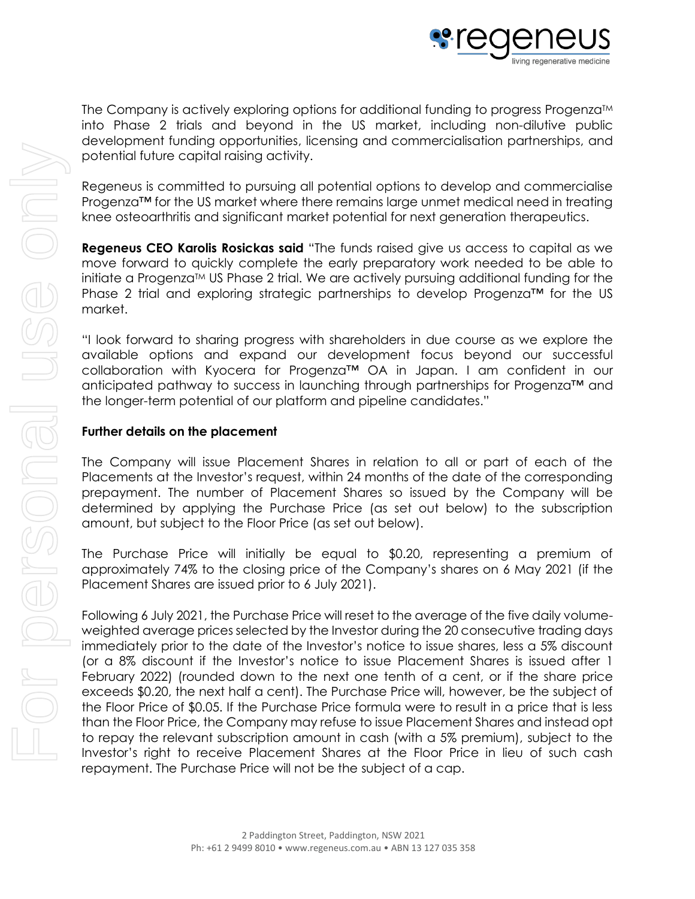

The Company is actively exploring options for additional funding to progress Progenza™ into Phase 2 trials and beyond in the US market, including non-dilutive public development funding opportunities, licensing and commercialisation partnerships, and potential future capital raising activity.

Regeneus is committed to pursuing all potential options to develop and commercialise Progenza™ for the US market where there remains large unmet medical need in treating knee osteoarthritis and significant market potential for next generation therapeutics.

**Regeneus CEO Karolis Rosickas said** "The funds raised give us access to capital as we move forward to quickly complete the early preparatory work needed to be able to initiate a Progenza<sup>TM</sup> US Phase 2 trial. We are actively pursuing additional funding for the Phase 2 trial and exploring strategic partnerships to develop Progenza™ for the US market.

"I look forward to sharing progress with shareholders in due course as we explore the available options and expand our development focus beyond our successful collaboration with Kyocera for Progenza™ OA in Japan. I am confident in our anticipated pathway to success in launching through partnerships for Progenza™ and the longer-term potential of our platform and pipeline candidates."

# **Further details on the placement**

The Company will issue Placement Shares in relation to all or part of each of the Placements at the Investor's request, within 24 months of the date of the corresponding prepayment. The number of Placement Shares so issued by the Company will be determined by applying the Purchase Price (as set out below) to the subscription amount, but subject to the Floor Price (as set out below).

The Purchase Price will initially be equal to \$0.20, representing a premium of approximately 74% to the closing price of the Company's shares on 6 May 2021 (if the Placement Shares are issued prior to 6 July 2021).

Following 6 July 2021, the Purchase Price will reset to the average of the five daily volumeweighted average prices selected by the Investor during the 20 consecutive trading days immediately prior to the date of the Investor's notice to issue shares, less a 5% discount (or a 8% discount if the Investor's notice to issue Placement Shares is issued after 1 February 2022) (rounded down to the next one tenth of a cent, or if the share price exceeds \$0.20, the next half a cent). The Purchase Price will, however, be the subject of the Floor Price of \$0.05. If the Purchase Price formula were to result in a price that is less than the Floor Price, the Company may refuse to issue Placement Shares and instead opt to repay the relevant subscription amount in cash (with a 5% premium), subject to the Investor's right to receive Placement Shares at the Floor Price in lieu of such cash repayment. The Purchase Price will not be the subject of a cap.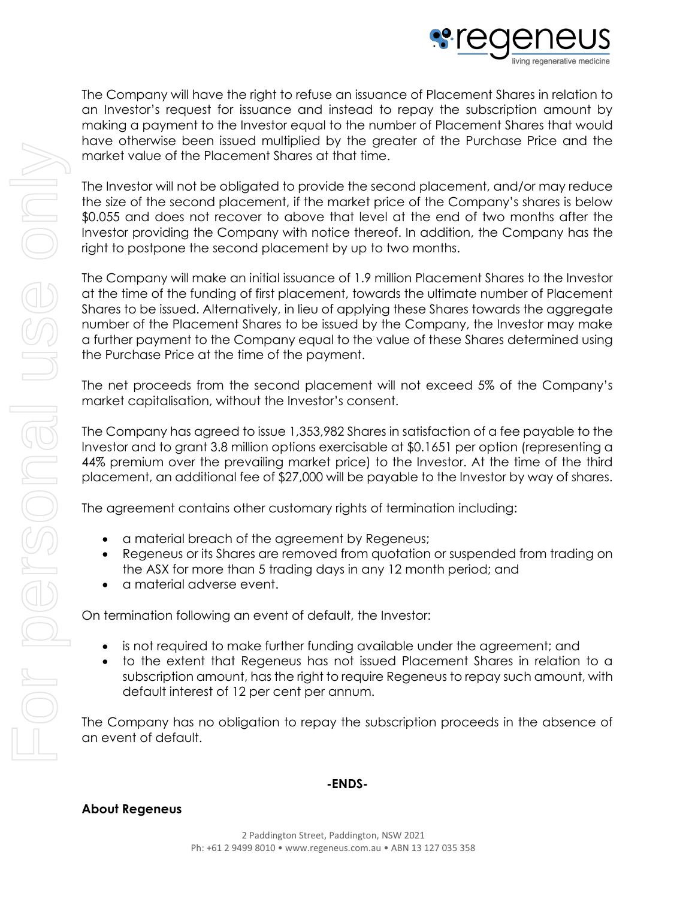

The Company will have the right to refuse an issuance of Placement Shares in relation to an Investor's request for issuance and instead to repay the subscription amount by making a payment to the Investor equal to the number of Placement Shares that would have otherwise been issued multiplied by the greater of the Purchase Price and the market value of the Placement Shares at that time.

The Investor will not be obligated to provide the second placement, and/or may reduce the size of the second placement, if the market price of the Company's shares is below \$0.055 and does not recover to above that level at the end of two months after the Investor providing the Company with notice thereof. In addition, the Company has the right to postpone the second placement by up to two months.

The Company will make an initial issuance of 1.9 million Placement Shares to the Investor at the time of the funding of first placement, towards the ultimate number of Placement Shares to be issued. Alternatively, in lieu of applying these Shares towards the aggregate number of the Placement Shares to be issued by the Company, the Investor may make a further payment to the Company equal to the value of these Shares determined using the Purchase Price at the time of the payment.

The net proceeds from the second placement will not exceed 5% of the Company's market capitalisation, without the Investor's consent.

The Company has agreed to issue 1,353,982 Shares in satisfaction of a fee payable to the Investor and to grant 3.8 million options exercisable at \$0.1651 per option (representing a 44% premium over the prevailing market price) to the Investor. At the time of the third placement, an additional fee of \$27,000 will be payable to the Investor by way of shares.

The agreement contains other customary rights of termination including:

- a material breach of the agreement by Regeneus;
- Regeneus or its Shares are removed from quotation or suspended from trading on the ASX for more than 5 trading days in any 12 month period; and
- a material adverse event.

On termination following an event of default, the Investor:

- is not required to make further funding available under the agreement; and
- to the extent that Regeneus has not issued Placement Shares in relation to a subscription amount, has the right to require Regeneus to repay such amount, with default interest of 12 per cent per annum.

The Company has no obligation to repay the subscription proceeds in the absence of an event of default.

#### **-ENDS-**

### **About Regeneus**